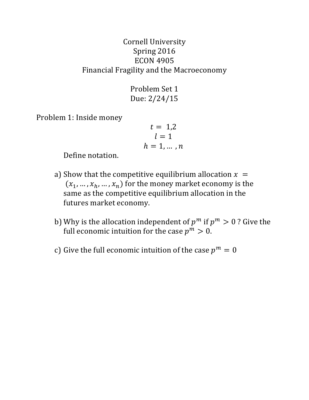## Cornell University Spring 2016 ECON 4905 Financial Fragility and the Macroeconomy

Problem Set 1 Due: 2/24/15

Problem 1: Inside money

$$
t = 1,2
$$
  

$$
l = 1
$$
  

$$
h = 1, \dots, n
$$

Define notation.

- a) Show that the competitive equilibrium allocation  $x =$  $(x_1, ..., x_h, ..., x_n)$  for the money market economy is the same as the competitive equilibrium allocation in the futures market economy.
- b) Why is the allocation independent of  $p^m$  if  $p^m > 0$ ? Give the full economic intuition for the case  $p^m > 0$ .
- c) Give the full economic intuition of the case  $p^m = 0$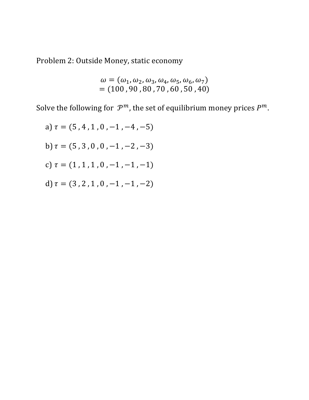Problem 2: Outside Money, static economy

$$
\omega = (\omega_1, \omega_2, \omega_3, \omega_4, \omega_5, \omega_6, \omega_7) = (100, 90, 80, 70, 60, 50, 40)
$$

Solve the following for  $\mathcal{P}^m$ , the set of equilibrium money prices  $P^m$ .

a) 
$$
\tau = (5, 4, 1, 0, -1, -4, -5)
$$
  
b)  $\tau = (5, 3, 0, 0, -1, -2, -3)$   
c)  $\tau = (1, 1, 1, 0, -1, -1, -1)$   
d)  $\tau = (3, 2, 1, 0, -1, -1, -2)$